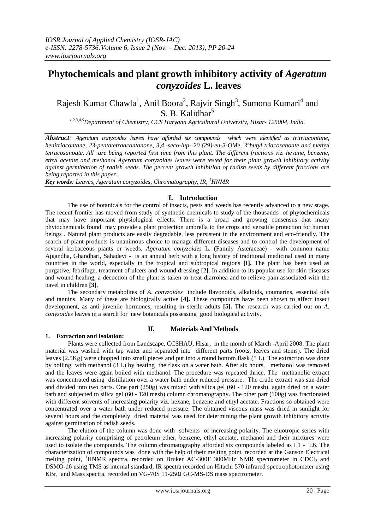# Phytochemicals and plant growth inhibitory activity of *Ageratum conyzoides* **L. leaves**

Rajesh Kumar Chawla<sup>1</sup>, Anil Boora<sup>2</sup>, Rajvir Singh<sup>3</sup>, Sumona Kumari<sup>4</sup> and S. B. Kalidhar<sup>5</sup>

*1,2,3,4,5Department of Chemistry, CCS Haryana Agricultural University, Hisar- 125004, India.*

*Abstract: Ageratum conyzoides leaves have afforded six compounds which were identified as tritriacontane, henitriacontane, 23-pentatetraacontanone, 3,4,-seco-lup- 20 (29)-en-3-OMe, 3°butyl triacosanoate and methyl tetracosanoate. All are being reported first time from this plant. The different fractions viz. hexane, benzene, ethyl acetate and methanol Ageratum conyzoides leaves were tested for their plant growth inhibitory activity against germination of radish seeds. The percent growth inhibition of radish seeds by different fractions are being reported in this paper.*

*Key words: Leaves, Ageratum conyzoides, Chromatography, IR, <sup>1</sup>HNMR*

#### **I. Introduction**

The use of botanicals for the control of insects, pests and weeds has recently advanced to a new stage. The recent frontier has moved from study of synthetic chemicals to study of the thousands of phytochemicals that may have important physiological effects. There is a broad and growing consensus that many phytochemicals found may provide a plant protection umbrella to the crops and versatile protection for human beings . Natural plant products are easily degradable, less persistent in the environment and eco-friendly. The search of plant products is unanimous choice to manage different diseases and to control the development of several herbaceous plants or weeds. *Ageratum conyzoides* L. (Family Asteraceae) - with common name Ajgandha, Ghandhari, Sahadevi - is an annual herb with a long history of traditional medicinal used in many countries in the world, especially in the tropical and subtropical regions **[I].** The plant has been used as purgative, febrifuge, treatment of ulcers and wound dressing **[2]**. In addition to its popular use for skin diseases and wound healing, a decoction of the plant is taken to treat diarrohea and to relieve pain associated with the navel in children **[3]**.

The secondary metabolites of *A*. *conyzoides* include flavonoids, alkaloids, coumarins, essential oils and tannins. Many of these are biologically active **[4].** These compounds have been shown to affect insect development, as anti juvenile hormones, resulting in sterile adults **[5].** The research was carried out on *A. conyzoides* leaves in a search for new botanicals possessing good biological activity.

#### **II. Materials And Methods**

#### **1. Extraction and Isolation:**

Plants were collected from Landscape, CCSHAU, Hisar, in the month of March -April 2008. The plant material was washed with tap water and separated into different parts (roots, leaves and stems). The dried leaves (2.5Kg) were chopped into small pieces and put into a round bottom flask (5 L). The extraction was done by boiling with methanol (3 L) by heating the flask on a water bath. After six hours, methanol was removed and the leaves were again boiled with methanol. The procedure was repeated thrice. The methanolic extract was concentrated using distillation over a water bath under reduced pressure. The crude extract was sun dried and divided into two parts. One part (250g) was mixed with silica gel (60 - 120 mesh), again dried on a water bath and subjected to silica gel (60 - 120 mesh) column chromatography. The other part (100g) was fractionated with different solvents of increasing polarity viz. hexane, benzene and ethyl acetate. Fractions so obtained were concentrated over a water bath under reduced pressure. The obtained viscous mass was dried in sunlight for several hours and the completely dried material was used for determining the plant growth inhibitory activity against germination of radish seeds.

The elution of the column was done with solvents of increasing polarity. The eluotropic series with increasing polarity comprising of petroleum ether, benzene, ethyl acetate, methanol and their mixtures were used to isolate the compounds. The column chromatography afforded six compounds labeled as L1 - L6. The characterization of compounds was done with the help of their melting point, recorded at the Ganson Electrical melting point, <sup>1</sup>HNMR spectra, recorded on Bruker AC-300F 300MHz NMR spectrometer in CDCl<sub>3</sub> and DSMO-d6 using TMS as internal standard, IR spectra recorded on Hitachi 570 infrared spectrophotometer using KBr, and Mass spectra, recorded on VG-70S 11-250J GC-MS-DS mass spectrometer.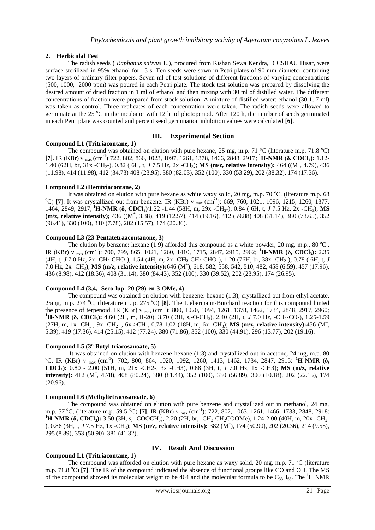# **2. Herbicidal Test**

The radish seeds ( *Raphanus sativus* L.), procured from Kishan Sewa Kendra, CCSHAU Hisar, were surface sterilized in 95% ethanol for 15 s. Ten seeds were sown in Petri plates of 90 mm diameter containing two layers of ordinary filter papers. Seven ml of test solutions of different fractions of varying concentrations (500, 1000, 2000 ppm) was poured in each Petri plate. The stock test solution was prepared by dissolving the desired amount of dried fraction in 1 ml of ethanol and then mixing with 30 ml of distilled water. The different concentrations of fraction were prepared from stock solution. A mixture of distilled water: ethanol (30:1, 7 ml) was taken as control. Three replicates of each concentration were taken. The radish seeds were allowed to germinate at the 25  $\degree$ C in the incubator with 12 h of photoperiod. After 120 h, the number of seeds germinated in each Petri plate was counted and percent seed germination inhibition values were calculated **[6]**.

# **III. Experimental Section**

# **Compound L1 (Tritriacontane, 1)**

The compound was obtained on elution with pure hexane, 25 mg, m.p. 71 °C (literature m.p. 71.8 °C) **[7]**. IR (KBr) ν max (cm-1 ):722, 802, 866, 1023, 1097, 1261, 1378, 1466, 2848, 2917; **<sup>1</sup>H-NMR (δ, CDCl3):** 1.12- 1.40 (62H, br, 31x -CH<sub>2</sub>-), 0.82 (6H, t, *J* 7.5 Hz, 2x -CH<sub>3</sub>); **MS (m/z, relative intensity):** 464 ((M<sup>+</sup>, 4.79), 436 (11.98), 414 (11.98), 412 (34.73) 408 (23.95), 380 (82.03), 352 (100), 330 (53.29), 202 (38.32), 174 (17.36).

## **Compound L2** (**Henitriacontane, 2)**

It was obtained on elution with pure hexane as white waxy solid, 20 mg, m.p. 70 °C, (literature m.p. 68 <sup>o</sup>C) [7]. It was crystallized out from benzene. IR (KBr) v  $_{\text{max}}$  (cm<sup>-1</sup>): 669, 760, 1021, 1096, 1215, 1260, 1377, 1464, 2849, 2917; **<sup>1</sup>H-NMR (δ, CDCl3)** : 1.22 -1.44 (58H, m, 29x -CH2-), 0.84 ( 6H, t, *J* 7.5 Hz, 2x -CH3); **MS**  (m/z, relative intensity);  $436 ((M^+, 3.38), 419 (12.57), 414 (19.16), 412 (59.88) 408 (31.14), 380 (73.65), 352)$ (96.41), 330 (100), 310 (7.78), 202 (15.57), 174 (20.36).

## **Compound L3 (23-Pentatetraacontanone, 3)**

The elution by benzene: hexane (1:9) afforded this compound as a white powder, 20 mg, m.p., 80 °C. IR (KBr) ν max (cm-1 ): 700, 799, 865, 1021, 1260, 1410, 1715, 2847, 2915, 2962; **<sup>1</sup>H-NMR (δ, CDCl3):** 2.35 (4H, t, *J* 7.0 Hz, 2x -CH2-CHO-), 1.54 (4H, m, 2x -**CH2**-CH2-CHO-), 1.20 (76H, br, 38x -CH2-), 0.78 ( 6H, t, *J* 7.0 Hz, 2x -CH3); **MS (m/z, relative intensity):**646 (M + ), 618, 582, 558, 542, 510, 482, 458 (6.59), 457 (17.96), 436 (8.98), 412 (18.56), 408 (31.14), 380 (84.43), 352 (100), 330 (39.52), 202 (23.95), 174 (26.95).

## **Compound L4 (3,4, -Seco-lup- 20 (29)-en-3-OMe, 4)**

The compound was obtained on elution with benzene: hexane (1:3), crystallized out from ethyl acetate, 25mg, m.p. 274 °C, (literature m. p. 275 °C) **[8]**. The Liebermann-Burchard reaction for this compound hinted the presence of terpenoid. IR (KBr)  $v_{\text{max}}$  (cm<sup>-1</sup>): 800, 1020, 1094, 1261, 1378, 1462, 1734, 2848, 2917, 2960; **<sup>1</sup>H-NMR (δ, CDCl3):** 4.60 (2H, m, H-20), 3.70 ( 3H, s,-O-CH3), 2.40 (2H, t, *J* 7.0 Hz, -CH2-CO-), 1.25-1.59  $(27H, m, 1x - CH_3, 9x - CH_2-, 6x > CH-, 0.78-1.02$  (18H, m, 6x -CH<sub>3</sub>); **MS (m/z, relative intensity):**456 (M<sup>+</sup>, 5.39), 419 (17.36), 414 (25.15), 412 (77.24), 380 (71.86), 352 (100), 330 (44.91), 296 (13.77), 202 (19.16).

## **Compound L5 (3° Butyl triacosanoate, 5)**

It was obtained on elution with benzene-hexane (1:3) and crystallized out in acetone, 24 mg, m.p. 80 <sup>o</sup>C. IR (KBr) ν <sub>max</sub> (cm<sup>-1</sup>): 702, 800, 864, 1020, 1092, 1260, 1413, 1462, 1734, 2847, 2915: <sup>1</sup>**H-NMR (δ, CDCl3):** 0.80 - 2.00 (51H, m, 21x -CH2-, 3x -CH3), 0.88 (3H, t, *J* 7.0 Hz, 1x -CH3); **MS (m/z, relative intensity):** 412 (M<sup>+</sup>, 4.78), 408 (80.24), 380 (81.44), 352 (100), 330 (56.89), 300 (10.18), 202 (22.15), 174 (20.96).

#### **Compound L6 (Methyltetracosanoate, 6)**

The compound was obtained on elution with pure benzene and crystallized out in methanol, 24 mg, m.p. 57 °C, (literature m.p. 59.5 °C) [7]. IR (KBr) ν <sub>max</sub> (cm<sup>-1</sup>): 722, 802, 1063, 1261, 1466, 1733, 2848, 2918: **<sup>1</sup>H-NMR (δ, CDCl<sub>3</sub>):** 3.50 (3H, s, -COOCH<sub>3</sub>), 2.20 (2H, br, -CH<sub>2</sub>-CH<sub>2</sub>COOMe), 1.24-2.00 (40H, m, 20x -CH<sub>2</sub>-), 0.86 (3H, t, *J* 7.5 Hz, 1x -CH<sub>3</sub>); **MS** (m/z, relative intensity): 382 (M<sup>+</sup>), 174 (50.90), 202 (20.36), 214 (9.58), 295 (8.89), 353 (50.90), 381 (41.32).

## **IV. Result And Discussion**

**Compound L1 (Tritriacontane, 1)** The compound was afforded on elution with pure hexane as waxy solid, 20 mg, m.p. 71  $^{\circ}$ C (literature m.p. 71.8 <sup>o</sup>C) [7]. The IR of the compound indicated the absence of functional groups like CO and OH. The MS of the compound showed its molecular weight to be 464 and the molecular formula to be  $C_{33}H_{68}$ . The <sup>1</sup>H NMR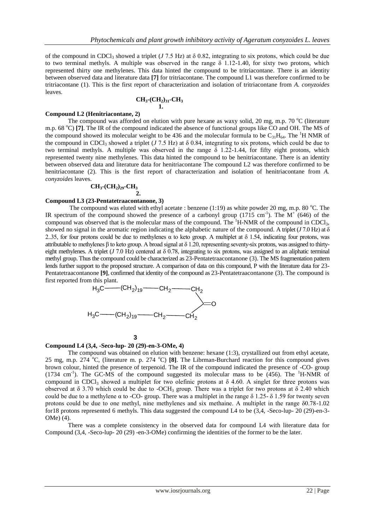of the compound in CDCl<sub>3</sub> showed a triplet (*J* 7.5 Hz) at  $\delta$  0.82, integrating to six protons, which could be due to two terminal methyls. A multiple was observed in the range  $\delta$  1.12-1.40, for sixty two protons, which represented thirty one methylenes. This data hinted the compound to be tritriacontane. There is an identity between observed data and literature data **[7]** for tritriacontane. The compound L1 was therefore confirmed to be tritriacontane (1). This is the first report of characterization and isolation of tritriacontane from *A. conyzoides* leaves.

#### **CH3-(CH2)31-CH<sup>3</sup> 1.**

#### **Compound L2 (Henitriacontane, 2)**

The compound was afforded on elution with pure hexane as waxy solid, 20 mg, m.p. 70  $^{\circ}$ C (literature m.p. 68 <sup>o</sup>C) [7]. The IR of the compound indicated the absence of functional groups like CO and OH. The MS of the compound showed its molecular weight to be 436 and the molecular formula to be  $C_3H_{64}$ . The <sup>1</sup>H NMR of the compound in CDCl<sub>3</sub> showed a triplet (*J* 7.5 Hz) at  $\delta$  0.84, integrating to six protons, which could be due to two terminal methyls. A multiple was observed in the range  $\delta$  1.22-1.44, for fifty eight protons, which represented twenty nine methylenes. This data hinted the compound to be henitriacontane. There is an identity between observed data and literature data for henitriacontane The compound L2 was therefore confirmed to be henitriacontane (2). This is the first report of characterization and isolation of henitriacontane from *A. conyzoides* leaves.

#### **CH3-(CH2)29-CH<sup>3</sup> 2.**

#### **Compound L3 (23-Pentatetraacontanone, 3)**

The compound was eluted with ethyl acetate : benzene  $(1:19)$  as white powder 20 mg, m.p. 80 °C. The IR spectrum of the compound showed the presence of a carbonyl group  $(1715 \text{ cm}^{-1})$ . The M<sup>+</sup> (646) of the compound was observed that is the molecular mass of the compound. The  ${}^{1}H\text{-NMR}$  of the compound in CDCl<sub>3</sub>, showed no signal in the aromatic region indicating the alphabetic nature of the compound. A triplet  $(J7.0 \text{ Hz})$  at  $\delta$ 2..35, for four protons could be due to methylenes  $\alpha$  to keto group. A multiplet at  $\delta$  1.54, indicating four protons, was attributable to methylenes β to keto group. A broad signal at δ 1.20, representing seventy-six protons, was assigned to thirtyeight methylenes. A triplet ( $J$  7.0 Hz) centered at  $\delta$  0.78, integrating to six protons, was assigned to an aliphatic terminal methyl group. Thus the compound could be characterized as 23-Pentatetraacontanone (3). The MS fragmentation pattern lends further support to the proposed structure. A comparison of data on this compound, P with the literature data for 23- Pentatetraacontanone **[9]**, confirmed that identity of the compound as 23-Pentatetraacontanone (3). The compound is first reported from this plant.

$$
H_3C
$$
— $(CH_2)_{19}$ — $CH_2$ — $CH_2$   
\n $H_3C$ — $(CH_2)_{19}$ — $CH_2$ — $CH_2$ — $CH_2$ — $CH_2$ 

#### **3**

#### **Compound L4 (3,4, -Seco-lup- 20 (29)-en-3-OMe, 4)**

The compound was obtained on elution with benzene: hexane (1:3), crystallized out from ethyl acetate, 25 mg, m.p. 274 <sup>o</sup>C, (literature m. p. 274 <sup>o</sup>C) [8]. The Librman-Burchard reaction for this compound gives brown colour, hinted the presence of terpenoid. The IR of the compound indicated the presence of -CO- group (1734 cm<sup>-1</sup>). The GC-MS of the compound suggested its molecular mass to be  $(456)$ . The <sup>1</sup>H-NMR of compound in CDCl<sub>3</sub> showed a multiplet for two olefinic protons at  $\delta$  4.60. A singlet for three protons was observed at  $\delta$  3.70 which could be due to -OCH<sub>3</sub> group. There was a triplet for two protons at  $\delta$  2.40 which could be due to a methylene α to -CO- group. There was a multiplet in the range  $δ$  1.25- $δ$  1.59 for twenty seven protons could be due to one methyl, nine methylenes and six methaine. A multiplet in the range δ0.78-1.02 for18 protons represented 6 methyls. This data suggested the compound L4 to be (3,4, -Seco-lup- 20 (29)-en-3- OMe) (4).

There was a complete consistency in the observed data for compound L4 with literature data for Compound (3,4, -Seco-lup- 20 (29) -en-3-OMe) confirming the identities of the former to be the later.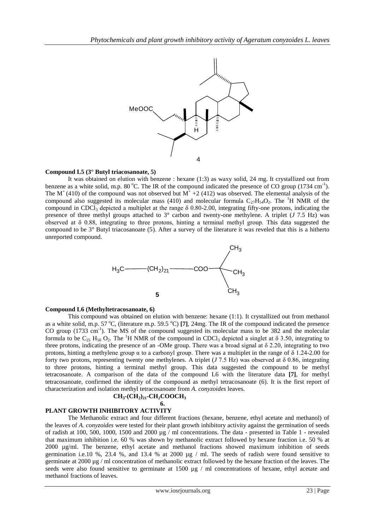

#### **Compound L5 (3° Butyl triacosanoate, 5)**

It was obtained on elution with benzene : hexane (1:3) as waxy solid, 24 mg. It crystallized out from benzene as a white solid, m.p. 80 °C. The IR of the compound indicated the presence of CO group (1734 cm<sup>-1</sup>). The M<sup>+</sup>(410) of the compound was not observed but M<sup>+</sup> +2 (412) was observed. The elemental analysis of the compound also suggested its molecular mass (410) and molecular formula  $C_{27}H_{54}O_2$ . The <sup>1</sup>H NMR of the compound in CDCl<sub>3</sub> depicted a multiplet at the range  $\delta$  0.80-2.00, integrating fifty-one protons, indicating the presence of three methyl groups attached to 3° carbon and twenty-one methylene. A triplet (*J* 7.5 Hz) was observed at δ 0.88, integrating to three protons, hinting a terminal methyl group. This data suggested the compound to be 3° Butyl triacosanoate (5). After a survey of the literature it was reveled that this is a hitherto unreported compound.



#### **Compound L6 (Methyltetracosanoate, 6)**

This compound was obtained on elution with benzene: hexane (1:1). It crystallized out from methanol as a white solid, m.p. 57  $^{\circ}$ C, (literature m.p. 59.5  $^{\circ}$ C) [7], 24mg. The IR of the compound indicated the presence CO group (1733 cm<sup>-1</sup>). The MS of the compound suggested its molecular mass to be 382 and the molecular formula to be  $C_{25}$  H<sub>50</sub> O<sub>2</sub>. The <sup>1</sup>H NMR of the compound in CDCl<sub>3</sub> depicted a singlet at  $\delta$  3.50, integrating to three protons, indicating the presence of an -OMe group. There was a broad signal at  $\delta$  2.20, integrating to two protons, hinting a methylene group α to a carbonyl group. There was a multiplet in the range of δ 1.24-2.00 for forty two protons, representing twenty one methylenes. A triplet (*J* 7.5 Hz) was observed at δ 0.86, integrating to three protons, hinting a terminal methyl group. This data suggested the compound to be methyl tetracosanoate. A comparison of the data of the compound L6 with the literature data **[7]**, for methyl tetracosanoate, confirmed the identity of the compound as methyl tetracosanoate (6). It is the first report of characterization and isolation methyl tetracosanoate from *A. conyzoides* leaves.

$$
CH_3\text{-}(CH_2)_{21}\text{-}CH_2COOCH_3
$$

# **6.**

# **PLANT GROWTH INHIBITORY ACTIVITY**

The Methanolic extract and four different fractions (hexane, benzene, ethyl acetate and methanol) of the leaves of *A. conyzoides* were tested for their plant growth inhibitory activity against the germination of seeds of radish at 100, 500, 1000, 1500 and 2000 µg / ml concentrations. The data - presented in Table 1 - revealed that maximum inhibition i.e. 60 % was shown by methanolic extract followed by hexane fraction i.e. 50 % at 2000 µg/ml. The benzene, ethyl acetate and methanol fractions showed maximum inhibition of seeds germination i.e.10 %, 23.4 %, and 13.4 % at 2000  $\mu$ g / ml. The seeds of radish were found sensitive to germinate at 2000 µg / ml concentration of methanolic extract followed by the hexane fraction of the leaves. The seeds were also found sensitive to germinate at 1500 µg / ml concentrations of hexane, ethyl acetate and methanol fractions of leaves.